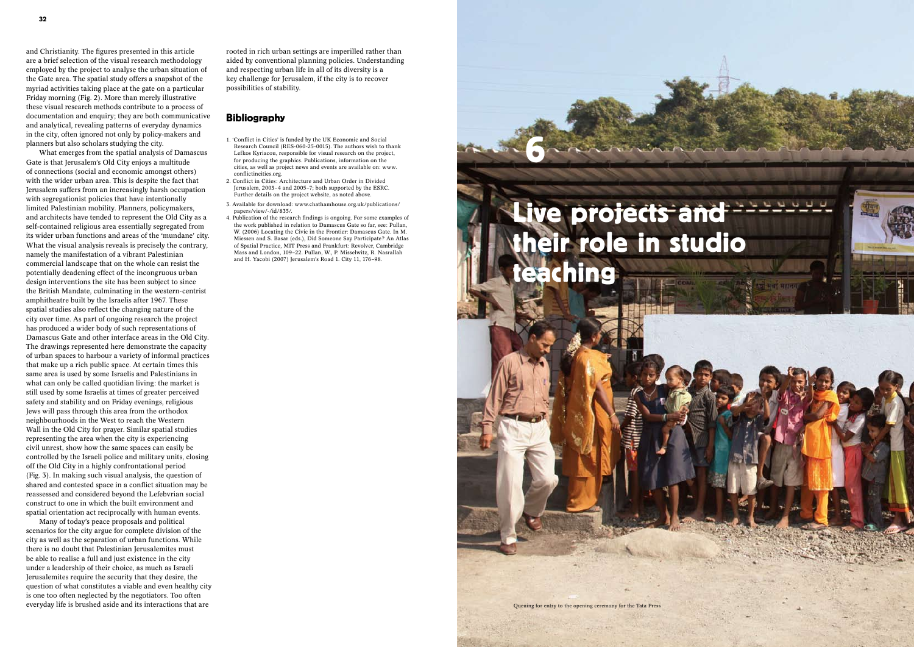and Christianity. The figures presented in this article are a brief selection of the visual research methodology employed by the project to analyse the urban situation of the Gate area. The spatial study offers a snapshot of the myriad activities taking place at the gate on a particular Friday morning (Fig. 2). More than merely illustrative these visual research methods contribute to a process of documentation and enquiry; they are both communicative and analytical, revealing patterns of everyday dynamics in the city, often ignored not only by policy-makers and planners but also scholars studying the city.

What emerges from the spatial analysis of Damascus Gate is that Jerusalem's Old City enjoys a multitude of connections (social and economic amongst others) with the wider urban area. This is despite the fact that Jerusalem suffers from an increasingly harsh occupation with segregationist policies that have intentionally limited Palestinian mobility. Planners, policymakers, and architects have tended to represent the Old City as a self-contained religious area essentially segregated from its wider urban functions and areas of the 'mundane' city. What the visual analysis reveals is precisely the contrary, namely the manifestation of a vibrant Palestinian commercial landscape that on the whole can resist the potentially deadening effect of the incongruous urban design interventions the site has been subject to since the British Mandate, culminating in the western-centrist amphitheatre built by the Israelis after 1967. These spatial studies also reflect the changing nature of the city over time. As part of ongoing research the project has produced a wider body of such representations of Damascus Gate and other interface areas in the Old City. The drawings represented here demonstrate the capacity of urban spaces to harbour a variety of informal practices that make up a rich public space. At certain times this same area is used by some Israelis and Palestinians in what can only be called quotidian living: the market is still used by some Israelis at times of greater perceived safety and stability and on Friday evenings, religious Jews will pass through this area from the orthodox neighbourhoods in the West to reach the Western Wall in the Old City for prayer. Similar spatial studies representing the area when the city is experiencing civil unrest, show how the same spaces can easily be controlled by the Israeli police and military units, closing off the Old City in a highly confrontational period (Fig. 3). In making such visual analysis, the question of shared and contested space in a conflict situation may be reassessed and considered beyond the Lefebvrian social construct to one in which the built environment and spatial orientation act reciprocally with human events.

# Live projects and their role in studio teaching

Many of today's peace proposals and political scenarios for the city argue for complete division of the city as well as the separation of urban functions. While there is no doubt that Palestinian Jerusalemites must be able to realise a full and just existence in the city under a leadership of their choice, as much as Israeli Jerusalemites require the security that they desire, the question of what constitutes a viable and even healthy city is one too often neglected by the negotiators. Too often everyday life is brushed aside and its interactions that are

rooted in rich urban settings are imperilled rather than aided by conventional planning policies. Understanding and respecting urban life in all of its diversity is a key challenge for Jerusalem, if the city is to recover possibilities of stability.

## **Bibliography**

- 1. 'Conflict in Cities' is funded by the UK Economic and Social Research Council (RES-060-25-0015). The authors wish to thank Lefkos Kyriacou, responsible for visual research on the project, for producing the graphics. Publications, information on the cities, as well as project news and events are available on: www. conflictincities.org.
- 2. Conflict in Cities: Architecture and Urban Order in Divided Jerusalem, 2003–4 and 2005–7; both supported by the ESRC. Further details on the project website, as noted above.
- 3. Available for download: www.chathamhouse.org.uk/publications/ papers/view/-/id/835/.
- 4. Publication of the research findings is ongoing. For some examples of the work published in relation to Damascus Gate so far, see: Pullan W. (2006) Locating the Civic in the Frontier: Damascus Gate. In M. Miessen and S. Basar (eds.), Did Someone Say Participate? An Atlas of Spatial Practice, MIT Press and Frankfurt: Revolver, Cambridge Mass and London, 109–22. Pullan, W., P. Misselwitz, R. Nasrallah and H. Yacobi (2007) Jerusalem's Road 1. City 11, 176–98.

6

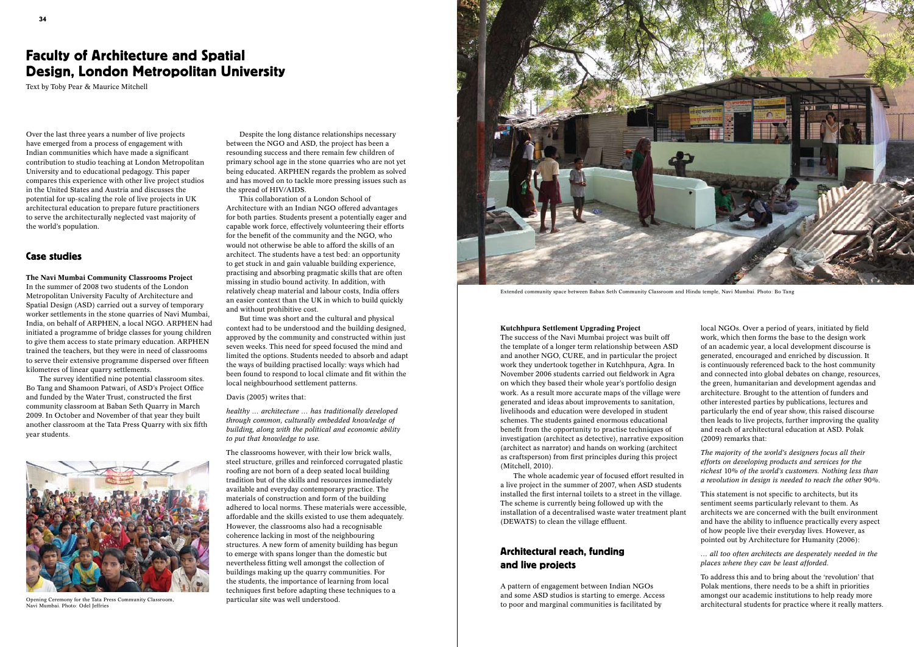Over the last three years a number of live projects have emerged from a process of engagement with Indian communities which have made a significant contribution to studio teaching at London Metropolitan University and to educational pedagogy. This paper compares this experience with other live project studios in the United States and Austria and discusses the potential for up-scaling the role of live projects in UK architectural education to prepare future practitioners to serve the architecturally neglected vast majority of the world's population.

### Case studies

The Navi Mumbai Community Classrooms Project In the summer of 2008 two students of the London Metropolitan University Faculty of Architecture and Spatial Design (ASD) carried out a survey of temporary worker settlements in the stone quarries of Navi Mumbai, India, on behalf of ARPHEN, a local NGO. ARPHEN had initiated a programme of bridge classes for young children to give them access to state primary education. ARPHEN trained the teachers, but they were in need of classrooms to serve their extensive programme dispersed over fifteen kilometres of linear quarry settlements.

The survey identified nine potential classroom sites. Bo Tang and Shamoon Patwari, of ASD's Project Office and funded by the Water Trust, constructed the first community classroom at Baban Seth Quarry in March 2009. In October and November of that year they built another classroom at the Tata Press Quarry with six fifth year students.

Despite the long distance relationships necessary between the NGO and ASD, the project has been a resounding success and there remain few children of primary school age in the stone quarries who are not yet being educated. ARPHEN regards the problem as solved and has moved on to tackle more pressing issues such as the spread of HIV/AIDS.

This collaboration of a London School of Architecture with an Indian NGO offered advantages for both parties. Students present a potentially eager and capable work force, effectively volunteering their efforts for the benefit of the community and the NGO, who would not otherwise be able to afford the skills of an architect. The students have a test bed: an opportunity to get stuck in and gain valuable building experience, practising and absorbing pragmatic skills that are often missing in studio bound activity. In addition, with relatively cheap material and labour costs, India offers an easier context than the UK in which to build quickly and without prohibitive cost.

But time was short and the cultural and physical context had to be understood and the building designed, approved by the community and constructed within just seven weeks. This need for speed focused the mind and limited the options. Students needed to absorb and adapt the ways of building practised locally: ways which had been found to respond to local climate and fit within the local neighbourhood settlement patterns.



Extended community space between Baban Seth Community Classroom and Hindu temple, Navi Mumbai. Photo: Bo Tang

#### Davis (2005) writes that:

*healthy … architecture … has traditionally developed through common, culturally embedded knowledge of building, along with the political and economic ability to put that knowledge to use.* 

The classrooms however, with their low brick walls, steel structure, grilles and reinforced corrugated plastic roofing are not born of a deep seated local building tradition but of the skills and resources immediately available and everyday contemporary practice. The materials of construction and form of the building adhered to local norms. These materials were accessible, affordable and the skills existed to use them adequately. However, the classrooms also had a recognisable coherence lacking in most of the neighbouring structures. A new form of amenity building has begun to emerge with spans longer than the domestic but nevertheless fitting well amongst the collection of buildings making up the quarry communities. For the students, the importance of learning from local techniques first before adapting these techniques to a particular site was well understood.

#### Kutchhpura Settlement Upgrading Project

The success of the Navi Mumbai project was built off the template of a longer term relationship between ASD and another NGO, CURE, and in particular the project work they undertook together in Kutchhpura, Agra. In November 2006 students carried out fieldwork in Agra on which they based their whole year's portfolio design work. As a result more accurate maps of the village were generated and ideas about improvements to sanitation, livelihoods and education were developed in student schemes. The students gained enormous educational benefit from the opportunity to practise techniques of investigation (architect as detective), narrative exposition (architect as narrator) and hands on working (architect as craftsperson) from first principles during this project (Mitchell, 2010).

The whole academic year of focused effort resulted in a live project in the summer of 2007, when ASD students installed the first internal toilets to a street in the village. The scheme is currently being followed up with the installation of a decentralised waste water treatment plant (DEWATS) to clean the village effluent.

# Architectural reach, funding and live projects

A pattern of engagement between Indian NGOs and some ASD studios is starting to emerge. Access to poor and marginal communities is facilitated by



Opening Ceremony for the Tata Press Community Classroom, Navi Mumbai. Photo: Odel Jeffries

local NGOs. Over a period of years, initiated by field work, which then forms the base to the design work of an academic year, a local development discourse is generated, encouraged and enriched by discussion. It is continuously referenced back to the host community and connected into global debates on change, resources, the green, humanitarian and development agendas and architecture. Brought to the attention of funders and other interested parties by publications, lectures and particularly the end of year show, this raised discourse then leads to live projects, further improving the quality and reach of architectural education at ASD. Polak (2009) remarks that:

*The majority of the world's designers focus all their efforts on developing products and services for the richest* 10*% of the world's customers. Nothing less than a revolution in design is needed to reach the other* 90*%.*

This statement is not specific to architects, but its sentiment seems particularly relevant to them. As architects we are concerned with the built environment and have the ability to influence practically every aspect of how people live their everyday lives. However, as pointed out by Architecture for Humanity (2006):

*… all too often architects are desperately needed in the places where they can be least afforded.*

To address this and to bring about the 'revolution' that Polak mentions, there needs to be a shift in priorities amongst our academic institutions to help ready more architectural students for practice where it really matters.

# Faculty of Architecture and Spatial Design, London Metropolitan University

Text by Toby Pear & Maurice Mitchell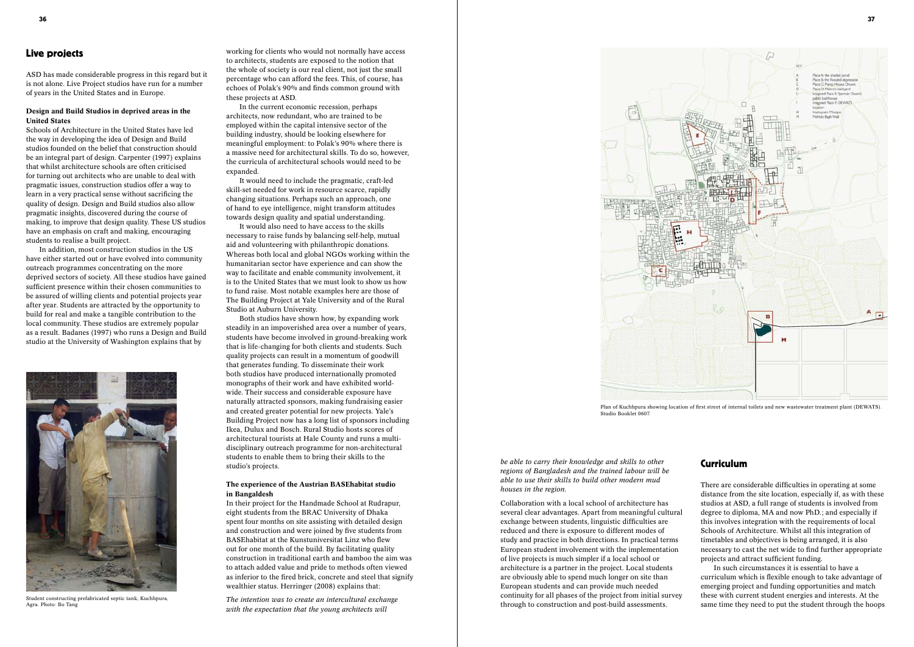Plan of Kuchhpura showing location of first street of internal toilets and new wastewater treatment plant (DEWATS).



Studio Booklet 0607.

## Live projects

ASD has made considerable progress in this regard but it is not alone. Live Project studios have run for a number of years in the United States and in Europe.

#### Design and Build Studios in deprived areas in the United States

Schools of Architecture in the United States have led the way in developing the idea of Design and Build studios founded on the belief that construction should be an integral part of design. Carpenter (1997) explains that whilst architecture schools are often criticised for turning out architects who are unable to deal with pragmatic issues, construction studios offer a way to learn in a very practical sense without sacrificing the quality of design. Design and Build studios also allow pragmatic insights, discovered during the course of making, to improve that design quality. These US studios have an emphasis on craft and making, encouraging students to realise a built project.

In addition, most construction studios in the US have either started out or have evolved into community outreach programmes concentrating on the more deprived sectors of society. All these studios have gained sufficient presence within their chosen communities to be assured of willing clients and potential projects year after year. Students are attracted by the opportunity to build for real and make a tangible contribution to the local community. These studios are extremely popular as a result. Badanes (1997) who runs a Design and Build studio at the University of Washington explains that by

working for clients who would not normally have access to architects, students are exposed to the notion that the whole of society is our real client, not just the small percentage who can afford the fees. This, of course, has echoes of Polak's 90% and finds common ground with these projects at ASD.

In the current economic recession, perhaps architects, now redundant, who are trained to be employed within the capital intensive sector of the building industry, should be looking elsewhere for meaningful employment: to Polak's 90% where there is a massive need for architectural skills. To do so, however, the curricula of architectural schools would need to be expanded.

It would need to include the pragmatic, craft-led skill-set needed for work in resource scarce, rapidly changing situations. Perhaps such an approach, one of hand to eye intelligence, might transform attitudes towards design quality and spatial understanding.

It would also need to have access to the skills necessary to raise funds by balancing self-help, mutual aid and volunteering with philanthropic donations. Whereas both local and global NGOs working within the humanitarian sector have experience and can show the way to facilitate and enable community involvement, it is to the United States that we must look to show us how to fund raise. Most notable examples here are those of The Building Project at Yale University and of the Rural Studio at Auburn University.

Both studios have shown how, by expanding work steadily in an impoverished area over a number of years, students have become involved in ground-breaking work that is life-changing for both clients and students. Such quality projects can result in a momentum of goodwill that generates funding. To disseminate their work both studios have produced internationally promoted monographs of their work and have exhibited worldwide. Their success and considerable exposure have naturally attracted sponsors, making fundraising easier and created greater potential for new projects. Yale's Building Project now has a long list of sponsors including Ikea, Dulux and Bosch. Rural Studio hosts scores of architectural tourists at Hale County and runs a multidisciplinary outreach programme for non-architectural students to enable them to bring their skills to the studio's projects.

#### The experience of the Austrian BASEhabitat studio in Bangaldesh

In their project for the Handmade School at Rudrapur, eight students from the BRAC University of Dhaka spent four months on site assisting with detailed design and construction and were joined by five students from BASEhabitat at the Kunstuniversitat Linz who flew out for one month of the build. By facilitating quality construction in traditional earth and bamboo the aim was to attach added value and pride to methods often viewed as inferior to the fired brick, concrete and steel that signify wealthier status. Herringer (2008) explains that:

*The intention was to create an intercultural exchange with the expectation that the young architects will* 



Student constructing prefabricated septic tank, Kuchhpura, Agra. Photo: Bo Tang

*be able to carry their knowledge and skills to other regions of Bangladesh and the trained labour will be able to use their skills to build other modern mud houses in the region.*

Collaboration with a local school of architecture has several clear advantages. Apart from meaningful cultural exchange between students, linguistic difficulties are reduced and there is exposure to different modes of study and practice in both directions. In practical terms European student involvement with the implementation of live projects is much simpler if a local school or architecture is a partner in the project. Local students are obviously able to spend much longer on site than European students and can provide much needed continuity for all phases of the project from initial survey through to construction and post-build assessments.

### Curriculum

There are considerable difficulties in operating at some distance from the site location, especially if, as with these studios at ASD, a full range of students is involved from degree to diploma, MA and now PhD.; and especially if this involves integration with the requirements of local Schools of Architecture. Whilst all this integration of timetables and objectives is being arranged, it is also necessary to cast the net wide to find further appropriate projects and attract sufficient funding.

In such circumstances it is essential to have a curriculum which is flexible enough to take advantage of emerging project and funding opportunities and match these with current student energies and interests. At the same time they need to put the student through the hoops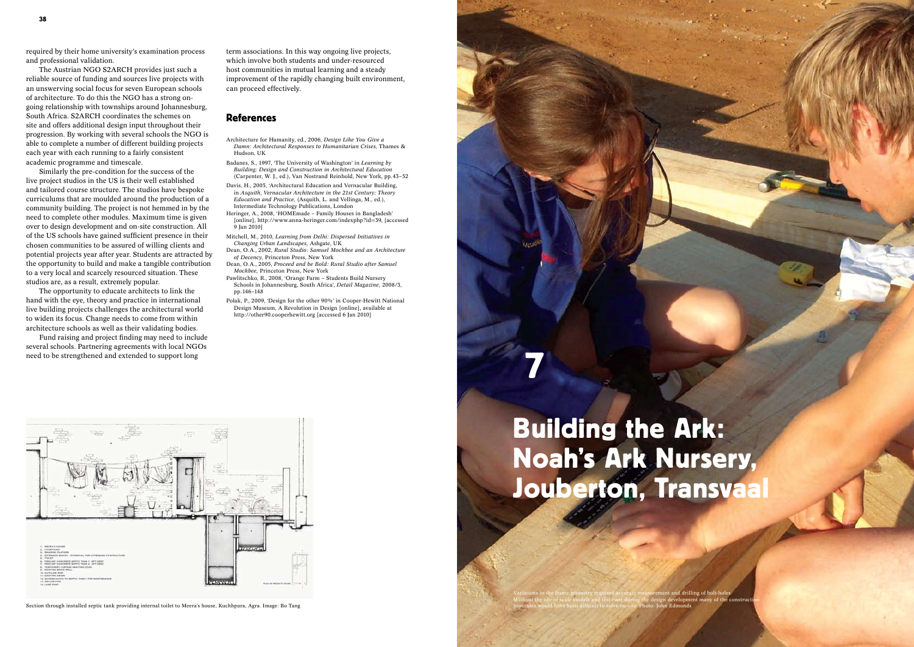

required by their home university's examination process and professional validation.

The Austrian NGO S2ARCH provides just such a reliable source of funding and sources live projects with an unswerving social focus for seven European schools of architecture. To do this the NGO has a strong ongoing relationship with townships around Johannesburg, South Africa. S2ARCH coordinates the schemes on site and offers additional design input throughout their progression. By working with several schools the NGO is able to complete a number of different building projects each year with each running to a fairly consistent academic programme and timescale.

Fund raising and project finding may need to include several schools. Partnering agreements with local NGOs need to be strengthened and extended to support long<br>need to be strengthened and extended to support long

Similarly the pre-condition for the success of the live project studios in the US is their well established and tailored course structure. The studios have bespoke curriculums that are moulded around the production of a community building. The project is not hemmed in by the need to complete other modules. Maximum time is given over to design development and on-site construction. All of the US schools have gained sufficient presence in their chosen communities to be assured of willing clients and potential projects year after year. Students are attracted by the opportunity to build and make a tangible contribution to a very local and scarcely resourced situation. These studios are, as a result, extremely popular.

The opportunity to educate architects to link the hand with the eye, theory and practice in international live building projects challenges the architectural world to widen its focus. Change needs to come from within architecture schools as well as their validating bodies.

# Building the Ark: Noah's Ark Nursery, Jouberton, Transvaal

term associations. In this way ongoing live projects, which involve both students and under-resourced host communities in mutual learning and a steady improvement of the rapidly changing built environment, can proceed effectively.

### **References**

- Architecture for Humanity, ed., 2006, *Design Like You Give a Damn: Architectural Responses to Humanitarian Crises,* Thames & Hudson, UK
- Badanes, S., 1997, 'The University of Washington' in *Learning by Building: Design and Construction in Architectural Education*  (Carpenter, W. J., ed.), Van Nostrand Reinhold, New York, pp.43–52
- Davis, H., 2005, 'Architectural Education and Vernacular Building, in *Asquith, Vernacular Architecture in the 21st Century: Theory Education and Practice,* (Asquith, L. and Vellinga, M., ed.), Intermediate Technology Publications, London
- Heringer, A., 2008, 'HOMEmade Family Houses in Bangladesh' [online], http://www.anna-heringer.com/indexphp?id=39, [accessed 9 Jan 2010]
- Mitchell, M., 2010, *Learning from Delhi: Dispersed Initiatives in Changing Urban Landscapes,* Ashgate, UK
- Dean, O.A., 2002, *Rural Studio: Samuel Mockbee and an Architecture of Decency,* Princeton Press, New York
- Dean, O.A., 2005, *Proceed and be Bold: Rural Studio after Samuel Mockbee,* Princeton Press, New York
- Pawlitschko, R., 2008, 'Orange Farm Students Build Nursery Schools in Johannesburg, South Africa', *Detail Magazine,* 2008/3, pp.146–148
- Polak, P., 2009, 'Design for the other 90%' in Cooper-Hewitt National Design Museum, A Revolution in Design [online], available at http://other90.cooperhewitt.org [accessed 6 Jan 2010]



Section through installed septic tank providing internal toilet to Meera's house, Kuchhpura, Agra. Image: Bo Tang

Variations in the frame geometry required accurate measurement and drilling of bolt-holes. Without the use of scale models and test runs during the design development many of the construction processes would have been difficult to solve on-site. Photo: John Edmonds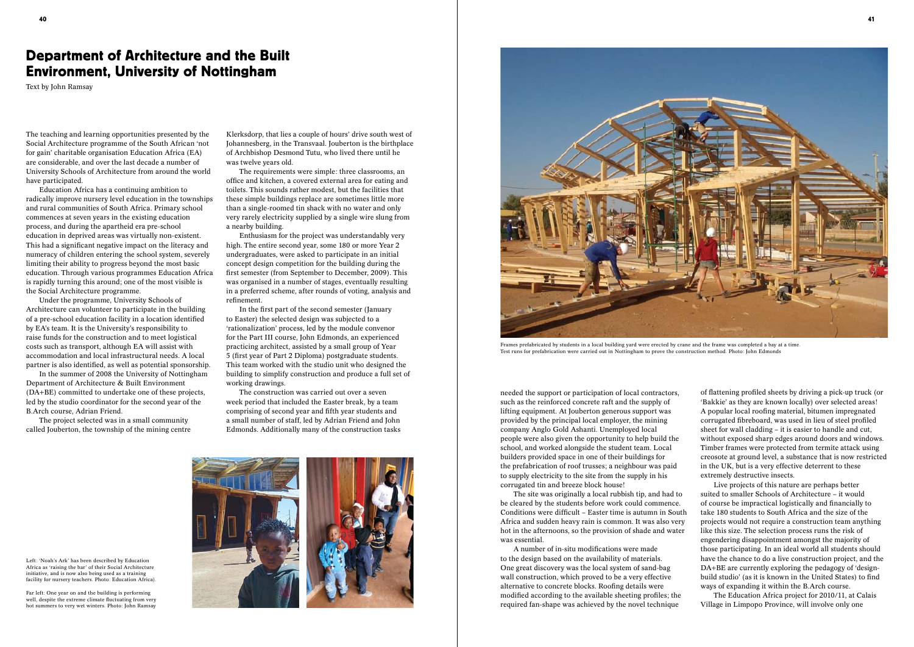The teaching and learning opportunities presented by the Social Architecture programme of the South African 'not for gain' charitable organisation Education Africa (EA) are considerable, and over the last decade a number of University Schools of Architecture from around the world have participated.

Education Africa has a continuing ambition to radically improve nursery level education in the townships and rural communities of South Africa. Primary school commences at seven years in the existing education process, and during the apartheid era pre-school education in deprived areas was virtually non-existent. This had a significant negative impact on the literacy and numeracy of children entering the school system, severely limiting their ability to progress beyond the most basic education. Through various programmes Education Africa is rapidly turning this around; one of the most visible is the Social Architecture programme.

Under the programme, University Schools of Architecture can volunteer to participate in the building of a pre-school education facility in a location identified by EA's team. It is the University's responsibility to raise funds for the construction and to meet logistical costs such as transport, although EA will assist with accommodation and local infrastructural needs. A local partner is also identified, as well as potential sponsorship.

In the summer of 2008 the University of Nottingham Department of Architecture & Built Environment (DA+BE) committed to undertake one of these projects, led by the studio coordinator for the second year of the B.Arch course, Adrian Friend.

The project selected was in a small community called Jouberton, the township of the mining centre

Left: 'Noah's Ark' has been described by Education Africa as 'raising the bar' of their Social Architecture initiative, and is now also being used as a training facility for nursery teachers. Photo: Education Africa).

Far left: One year on and the building is performing well, despite the extreme climate fluctuating from very hot summers to very wet winters. Photo: John Ramsay



Klerksdorp, that lies a couple of hours' drive south west of Johannesberg, in the Transvaal. Jouberton is the birthplace of Archbishop Desmond Tutu, who lived there until he was twelve years old.

The requirements were simple: three classrooms, an office and kitchen, a covered external area for eating and toilets. This sounds rather modest, but the facilities that these simple buildings replace are sometimes little more than a single-roomed tin shack with no water and only very rarely electricity supplied by a single wire slung from a nearby building.

Enthusiasm for the project was understandably very high. The entire second year, some 180 or more Year 2 undergraduates, were asked to participate in an initial concept design competition for the building during the first semester (from September to December, 2009). This was organised in a number of stages, eventually resulting in a preferred scheme, after rounds of voting, analysis and refinement.

In the first part of the second semester (January to Easter) the selected design was subjected to a 'rationalization' process, led by the module convenor for the Part III course, John Edmonds, an experienced practicing architect, assisted by a small group of Year 5 (first year of Part 2 Diploma) postgraduate students. This team worked with the studio unit who designed the building to simplify construction and produce a full set of working drawings.

The construction was carried out over a seven week period that included the Easter break, by a team comprising of second year and fifth year students and a small number of staff, led by Adrian Friend and John Edmonds. Additionally many of the construction tasks needed the support or participation of local contractors, such as the reinforced concrete raft and the supply of lifting equipment. At Jouberton generous support was provided by the principal local employer, the mining company Anglo Gold Ashanti. Unemployed local people were also given the opportunity to help build the school, and worked alongside the student team. Local builders provided space in one of their buildings for the prefabrication of roof trusses; a neighbour was paid to supply electricity to the site from the supply in his corrugated tin and breeze block house!

The site was originally a local rubbish tip, and had to be cleared by the students before work could commence. Conditions were difficult – Easter time is autumn in South Africa and sudden heavy rain is common. It was also very hot in the afternoons, so the provision of shade and water was essential.

A number of in-situ modifications were made to the design based on the availability of materials. One great discovery was the local system of sand-bag wall construction, which proved to be a very effective alternative to concrete blocks. Roofing details were modified according to the available sheeting profiles; the required fan-shape was achieved by the novel technique

of flattening profiled sheets by driving a pick-up truck (or 'Bakkie' as they are known locally) over selected areas! A popular local roofing material, bitumen impregnated corrugated fibreboard, was used in lieu of steel profiled sheet for wall cladding – it is easier to handle and cut, without exposed sharp edges around doors and windows. Timber frames were protected from termite attack using creosote at ground level, a substance that is now restricted in the UK, but is a very effective deterrent to these extremely destructive insects.

Live projects of this nature are perhaps better suited to smaller Schools of Architecture – it would of course be impractical logistically and financially to take 180 students to South Africa and the size of the projects would not require a construction team anything like this size. The selection process runs the risk of engendering disappointment amongst the majority of those participating. In an ideal world all students should have the chance to do a live construction project, and the DA+BE are currently exploring the pedagogy of 'designbuild studio' (as it is known in the United States) to find ways of expanding it within the B.Arch course.

The Education Africa project for 2010/11, at Calais Village in Limpopo Province, will involve only one

# Department of Architecture and the Built Environment, University of Nottingham

Text by John Ramsay



Frames prefabricated by students in a local building yard were erected by crane and the frame was completed a bay at a time. Test runs for prefabrication were carried out in Nottingham to prove the construction method. Photo: John Edmonds